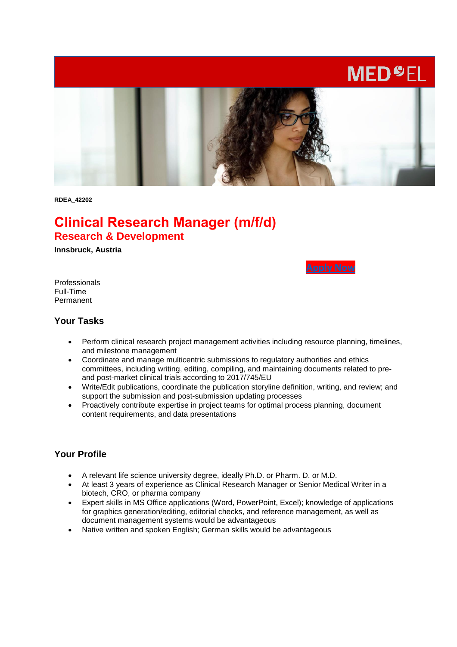# **MED<sup>O</sup>EL**



**RDEA\_42202**

# **Clinical Research Manager (m/f/d) Research & Development**

**Innsbruck, Austria** 



Professionals Full-Time Permanent

#### **Your Tasks**

- Perform clinical research project management activities including resource planning, timelines, and milestone management
- Coordinate and manage multicentric submissions to regulatory authorities and ethics committees, including writing, editing, compiling, and maintaining documents related to preand post-market clinical trials according to 2017/745/EU
- Write/Edit publications, coordinate the publication storyline definition, writing, and review; and support the submission and post-submission updating processes
- Proactively contribute expertise in project teams for optimal process planning, document content requirements, and data presentations

#### **Your Profile**

- A relevant life science university degree, ideally Ph.D. or Pharm. D. or M.D.
- At least 3 years of experience as Clinical Research Manager or Senior Medical Writer in a biotech, CRO, or pharma company
- Expert skills in MS Office applications (Word, PowerPoint, Excel); knowledge of applications for graphics generation/editing, editorial checks, and reference management, as well as document management systems would be advantageous
- Native written and spoken English; German skills would be advantageous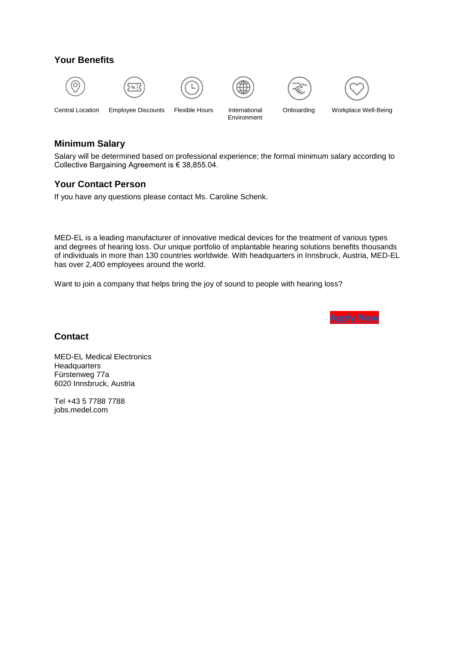## **Your Benefits**













Environment

Central Location Employee Discounts Flexible Hours International Onboarding Workplace Well-Being

#### **Minimum Salary**

Salary will be determined based on professional experience; the formal minimum salary according to Collective Bargaining Agreement is € 38,855.04.

### **Your Contact Person**

If you have any questions please contact Ms. Caroline Schenk.

MED-EL is a leading manufacturer of innovative medical devices for the treatment of various types and degrees of hearing loss. Our unique portfolio of implantable hearing solutions benefits thousands of individuals in more than 130 countries worldwide. With headquarters in Innsbruck, Austria, MED-EL has over 2,400 employees around the world.

Want to join a company that helps bring the joy of sound to people with hearing loss?



#### **Contact**

MED-EL Medical Electronics **Headquarters** Fürstenweg 77a 6020 Innsbruck, Austria

Tel +43 5 7788 7788 jobs.medel.com